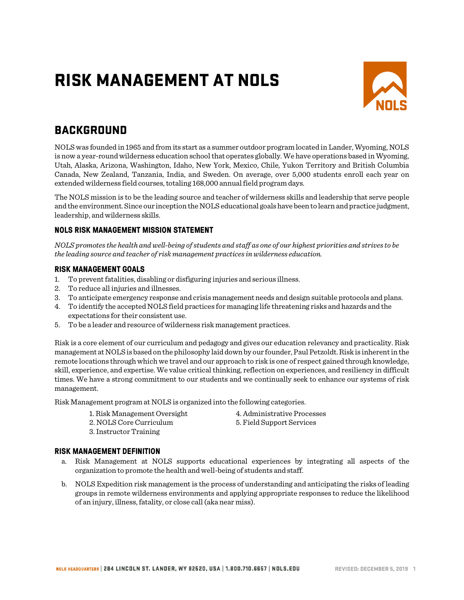# RISK MANAGEMENT AT NOLS



# **BACKGROUND**

NOLS was founded in 1965 and from its start as a summer outdoor program located in Lander, Wyoming, NOLS is now a year-round wilderness education school that operates globally. We have operations based in Wyoming, Utah, Alaska, Arizona, Washington, Idaho, New York, Mexico, Chile, Yukon Territory and British Columbia Canada, New Zealand, Tanzania, India, and Sweden. On average, over 5,000 students enroll each year on extended wilderness field courses, totaling 168,000 annual field program days.

The NOLS mission is to be the leading source and teacher of wilderness skills and leadership that serve people and the environment. Since our inception the NOLS educational goals have been to learn and practice judgment, leadership, and wilderness skills.

### **NOLS RISK MANAGEMENT MISSION STATEMENT**

*NOLS promotes the health and well-being of students and staff as one of our highest priorities and strives to be the leading source and teacher of risk management practices in wilderness education.*

### **RISK MANAGEMENT GOALS**

- 1. To prevent fatalities, disabling or disfiguring injuries and serious illness.
- 2. To reduce all injuries and illnesses.
- 3. To anticipate emergency response and crisis management needs and design suitable protocols and plans.
- 4. To identify the accepted NOLS field practices for managing life threatening risks and hazards and the expectations for their consistent use.
- 5. To be a leader and resource of wilderness risk management practices.

Risk is a core element of our curriculum and pedagogy and gives our education relevancy and practicality. Risk management at NOLS is based on the philosophy laid down by our founder, Paul Petzoldt.Risk is inherent in the remote locations through which we travel and our approach to risk is one of respect gained through knowledge, skill, experience, and expertise. We value critical thinking, reflection on experiences, and resiliency in difficult times. We have a strong commitment to our students and we continually seek to enhance our systems of risk management.

Risk Management program at NOLS is organized into the following categories.

1. Risk Management Oversight 4. Administrative Processes 2. NOLS Core Curriculum 5. Field Support Services

3. Instructor Training

### **RISK MANAGEMENT DEFINITION**

- a. Risk Management at NOLS supports educational experiences by integrating all aspects of the organization to promote the health and well-being of students and staff.
- b. NOLS Expedition risk management is the process of understanding and anticipating the risks of leading groups in remote wilderness environments and applying appropriate responses to reduce the likelihood of an injury, illness, fatality, or close call (aka near miss).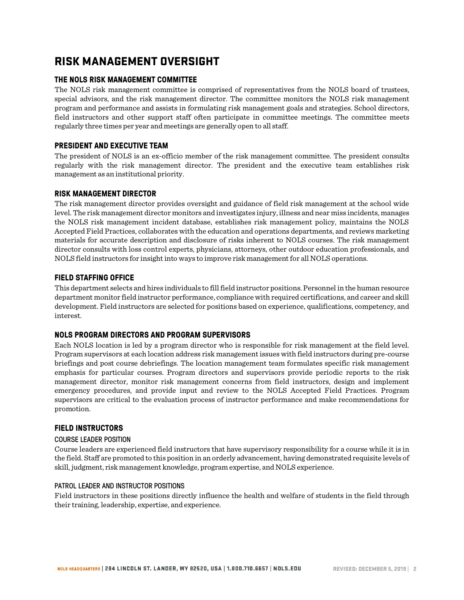# RISK MANAGEMENT OVERSIGHT

# **THE NOLS RISK MANAGEMENT COMMITTEE**

The NOLS risk management committee is comprised of representatives from the NOLS board of trustees, special advisors, and the risk management director. The committee monitors the NOLS risk management program and performance and assists in formulating risk management goals and strategies. School directors, field instructors and other support staff often participate in committee meetings. The committee meets regularly three times per year and meetings are generally open to all staff.

# **PRESIDENT AND EXECUTIVE TEAM**

The president of NOLS is an ex-officio member of the risk management committee. The president consults regularly with the risk management director. The president and the executive team establishes risk management as an institutional priority.

### **RISK MANAGEMENT DIRECTOR**

The risk management director provides oversight and guidance of field risk management at the school wide level. The risk management director monitors and investigates injury, illness and near miss incidents, manages the NOLS risk management incident database, establishes risk management policy, maintains the NOLS Accepted Field Practices, collaborates with the education and operations departments, and reviews marketing materials for accurate description and disclosure of risks inherent to NOLS courses. The risk management director consults with loss control experts, physicians, attorneys, other outdoor education professionals, and NOLS field instructors for insight into ways to improve risk management for all NOLS operations.

### **FIELD STAFFING OFFICE**

This department selects and hires individuals to fill field instructor positions. Personnel in the human resource department monitor field instructor performance, compliance with required certifications, and career and skill development. Field instructors are selected for positions based on experience, qualifications, competency, and interest.

### **NOLS PROGRAM DIRECTORS AND PROGRAM SUPERVISORS**

Each NOLS location is led by a program director who is responsible for risk management at the field level. Program supervisors at each location address risk management issues with field instructors during pre-course briefings and post course debriefings. The location management team formulates specific risk management emphasis for particular courses. Program directors and supervisors provide periodic reports to the risk management director, monitor risk management concerns from field instructors, design and implement emergency procedures, and provide input and review to the NOLS Accepted Field Practices. Program supervisors are critical to the evaluation process of instructor performance and make recommendations for promotion.

### **FIELD INSTRUCTORS**

#### COURSE LEADER POSITION

Course leaders are experienced field instructors that have supervisory responsibility for a course while it is in the field. Staff are promoted to this position in an orderly advancement, having demonstrated requisite levels of skill, judgment, risk management knowledge, program expertise, and NOLS experience.

#### PATROL LEADER AND INSTRUCTOR POSITIONS

Field instructors in these positions directly influence the health and welfare of students in the field through their training, leadership, expertise, and experience.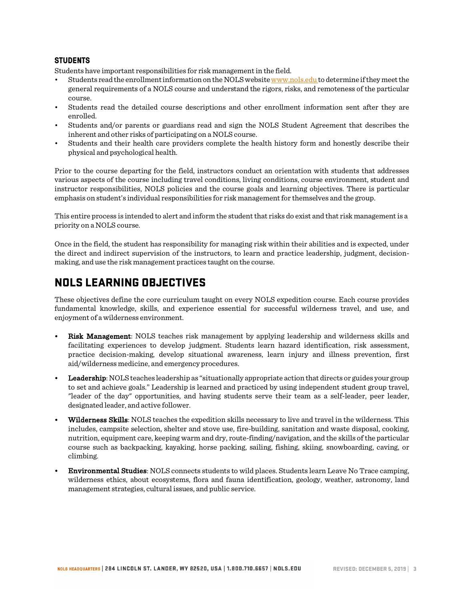### **STUDENTS**

Students have important responsibilities for risk management in the field.

- Students read the enrollment information on the NOLS website www.nols.edu to determine if they meet the general requirements of a NOLS course and understand the rigors, risks, and remoteness of the particular course.
- Students read the detailed course descriptions and other enrollment information sent after they are enrolled.
- Students and/or parents or guardians read and sign the NOLS Student Agreement that describes the inherent and other risks of participating on a NOLS course.
- Students and their health care providers complete the health history form and honestly describe their physical and psychological health.

Prior to the course departing for the field, instructors conduct an orientation with students that addresses various aspects of the course including travel conditions, living conditions, course environment, student and instructor responsibilities, NOLS policies and the course goals and learning objectives. There is particular emphasis on student's individual responsibilities for risk management for themselves and the group.

This entire process is intended to alert and inform the student that risks do exist and that risk management is a priority on a NOLS course.

Once in the field, the student has responsibility for managing risk within their abilities and is expected, under the direct and indirect supervision of the instructors, to learn and practice leadership, judgment, decisionmaking, and use the risk management practices taught on the course.

# NOLS LEARNING OBJECTIVES

These objectives define the core curriculum taught on every NOLS expedition course. Each course provides fundamental knowledge, skills, and experience essential for successful wilderness travel, and use, and enjoyment of a wilderness environment.

- Risk Management: NOLS teaches risk management by applying leadership and wilderness skills and facilitating experiences to develop judgment. Students learn hazard identification, risk assessment, practice decision-making, develop situational awareness, learn injury and illness prevention, first aid/wilderness medicine, and emergency procedures.
- Leadership: NOLS teaches leadership as "situationally appropriate action that directs or guides your group to set and achieve goals." Leadership is learned and practiced by using independent student group travel, "leader of the day" opportunities, and having students serve their team as a self-leader, peer leader, designated leader, and active follower.
- Wilderness Skills: NOLS teaches the expedition skills necessary to live and travel in the wilderness. This includes, campsite selection, shelter and stove use, fire-building, sanitation and waste disposal, cooking, nutrition, equipment care, keeping warm and dry, route-finding/navigation, and the skills of the particular course such as backpacking, kayaking, horse packing, sailing, fishing, skiing, snowboarding, caving, or climbing.
- Environmental Studies: NOLS connects students to wild places. Students learn Leave No Trace camping, wilderness ethics, about ecosystems, flora and fauna identification, geology, weather, astronomy, land management strategies, cultural issues, and public service.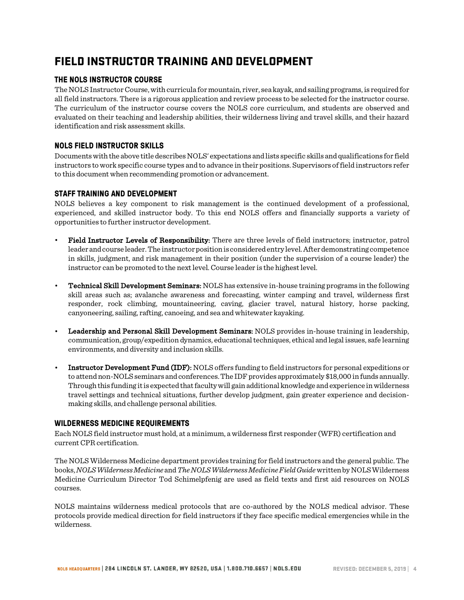# FIELD INSTRUCTOR TRAINING AND DEVELOPMENT

# **THE NOLS INSTRUCTOR COURSE**

The NOLS Instructor Course, with curricula for mountain, river, sea kayak, and sailing programs, is required for all field instructors. There is a rigorous application and review process to be selected for the instructor course. The curriculum of the instructor course covers the NOLS core curriculum, and students are observed and evaluated on their teaching and leadership abilities, their wilderness living and travel skills, and their hazard identification and risk assessment skills.

# **NOLS FIELD INSTRUCTOR SKILLS**

Documentswith the above title describes NOLS' expectations and lists specific skills and qualifications for field instructors to work specific course types and to advance in their positions. Supervisors of field instructors refer to this document when recommending promotion or advancement.

# **STAFF TRAINING AND DEVELOPMENT**

NOLS believes a key component to risk management is the continued development of a professional, experienced, and skilled instructor body. To this end NOLS offers and financially supports a variety of opportunities to further instructor development.

- Field Instructor Levels of Responsibility: There are three levels of field instructors; instructor, patrol leader and course leader. The instructor position is considered entry level. After demonstrating competence in skills, judgment, and risk management in their position (under the supervision of a course leader) the instructor can be promoted to the next level. Course leader is the highest level.
- Technical Skill Development Seminars: NOLS has extensive in-house training programs in the following skill areas such as; avalanche awareness and forecasting, winter camping and travel, wilderness first responder, rock climbing, mountaineering, caving, glacier travel, natural history, horse packing, canyoneering, sailing, rafting, canoeing, and sea and whitewater kayaking.
- Leadership and Personal Skill Development Seminars: NOLS provides in-house training in leadership, communication, group/expedition dynamics, educational techniques, ethical and legal issues, safe learning environments, and diversity and inclusion skills.
- Instructor Development Fund (IDF): NOLS offers funding to field instructors for personal expeditions or to attend non-NOLS seminars and conferences. The IDF provides approximately \$18,000 in funds annually. Through this funding it is expected that faculty will gain additional knowledge and experience in wilderness travel settings and technical situations, further develop judgment, gain greater experience and decisionmaking skills, and challenge personal abilities.

### **WILDERNESS MEDICINE REQUIREMENTS**

Each NOLS field instructor must hold, at a minimum, a wilderness first responder (WFR) certification and current CPR certification.

The NOLS Wilderness Medicine department provides training for field instructors and the general public. The books, *NOLS Wilderness Medicine* and*The NOLS Wilderness Medicine Field Guide*written by NOLS Wilderness Medicine Curriculum Director Tod Schimelpfenig are used as field texts and first aid resources on NOLS courses.

NOLS maintains wilderness medical protocols that are co-authored by the NOLS medical advisor. These protocols provide medical direction for field instructors if they face specific medical emergencies while in the wilderness.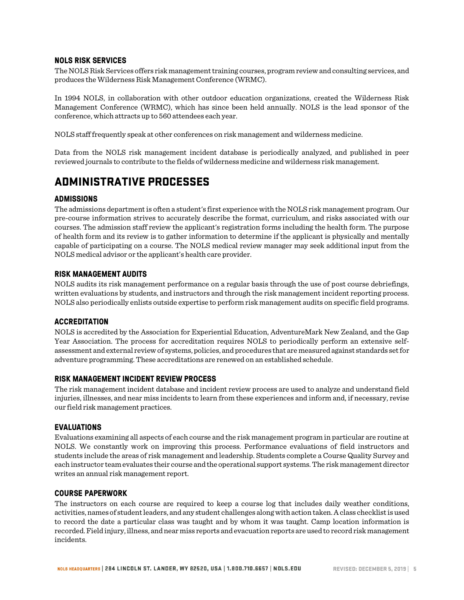### **NOLS RISK SERVICES**

The NOLS Risk Services offers risk management training courses, program review and consulting services, and produces the Wilderness Risk Management Conference (WRMC).

In 1994 NOLS, in collaboration with other outdoor education organizations, created the Wilderness Risk Management Conference (WRMC), which has since been held annually. NOLS is the lead sponsor of the conference, which attracts up to 560 attendees each year.

NOLS staff frequently speak at other conferences on risk management and wilderness medicine.

Data from the NOLS risk management incident database is periodically analyzed, and published in peer reviewed journals to contribute to the fields of wilderness medicine and wilderness risk management.

# ADMINISTRATIVE PROCESSES

### **ADMISSIONS**

The admissions department is often a student's first experience with the NOLS risk management program. Our pre-course information strives to accurately describe the format, curriculum, and risks associated with our courses. The admission staff review the applicant's registration forms including the health form. The purpose of health form and its review is to gather information to determine if the applicant is physically and mentally capable of participating on a course. The NOLS medical review manager may seek additional input from the NOLS medical advisor or the applicant's health care provider.

#### **RISK MANAGEMENT AUDITS**

NOLS audits its risk management performance on a regular basis through the use of post course debriefings, written evaluations by students, and instructors and through the risk management incident reporting process. NOLS also periodically enlists outside expertise to perform risk management audits on specific field programs.

#### **ACCREDITATION**

NOLS is accredited by the Association for Experiential Education, AdventureMark New Zealand, and the Gap Year Association. The process for accreditation requires NOLS to periodically perform an extensive selfassessment and external review of systems, policies, and procedures that are measured against standards set for adventure programming. These accreditations are renewed on an established schedule.

### **RISK MANAGEMENT INCIDENT REVIEW PROCESS**

The risk management incident database and incident review process are used to analyze and understand field injuries, illnesses, and near miss incidents to learn from these experiences and inform and, if necessary, revise our field risk management practices.

#### **EVALUATIONS**

Evaluations examining all aspects of each course and the risk management program in particular are routine at NOLS. We constantly work on improving this process. Performance evaluations of field instructors and students include the areas of risk management and leadership. Students complete a Course Quality Survey and each instructor team evaluates their course and the operational support systems. The risk management director writes an annual risk management report.

#### **COURSE PAPERWORK**

The instructors on each course are required to keep a course log that includes daily weather conditions, activities, names of student leaders, and any student challenges along with action taken. A class checklist is used to record the date a particular class was taught and by whom it was taught. Camp location information is recorded. Field injury, illness, and near miss reports and evacuation reports are used to record risk management incidents.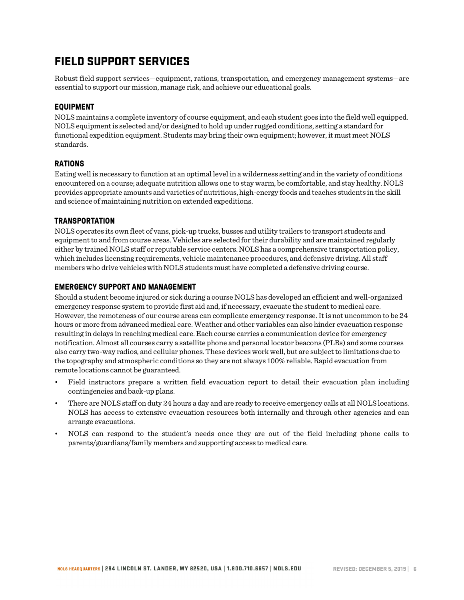# FIELD SUPPORT SERVICES

Robust field support services—equipment, rations, transportation, and emergency management systems—are essential to support our mission, manage risk, and achieve our educational goals.

# **EQUIPMENT**

NOLS maintains a complete inventory of course equipment, and each student goes into the field well equipped. NOLS equipment is selected and/or designed to hold up under rugged conditions, setting a standard for functional expedition equipment. Students may bring their own equipment; however, it must meet NOLS standards.

### **RATIONS**

Eating well is necessary to function at an optimal level in a wilderness setting and in the variety of conditions encountered on a course; adequate nutrition allows one to stay warm, be comfortable, and stay healthy. NOLS provides appropriate amounts and varieties of nutritious, high-energy foods and teaches students in the skill and science of maintaining nutrition on extended expeditions.

### **TRANSPORTATION**

NOLS operates its own fleet of vans, pick-up trucks, busses and utility trailers to transport students and equipment to and from course areas. Vehicles are selected for their durability and are maintained regularly either by trained NOLS staff or reputable service centers. NOLS has a comprehensive transportation policy, which includes licensing requirements, vehicle maintenance procedures, and defensive driving. All staff members who drive vehicles with NOLS students must have completed a defensive driving course.

### **EMERGENCY SUPPORT AND MANAGEMENT**

Should a student become injured or sick during a course NOLS has developed an efficient and well-organized emergency response system to provide first aid and, if necessary, evacuate the student to medical care. However, the remoteness of our course areas can complicate emergency response. It is not uncommon to be 24 hours or more from advanced medical care. Weather and other variables can also hinder evacuation response resulting in delays in reaching medical care. Each course carries a communication device for emergency notification. Almost all courses carry a satellite phone and personal locator beacons (PLBs) and some courses also carry two-way radios, and cellular phones. These devices work well, but are subject to limitations due to the topography and atmospheric conditions so they are not always 100% reliable. Rapid evacuation from remote locations cannot be guaranteed.

- Field instructors prepare a written field evacuation report to detail their evacuation plan including contingencies and back-up plans.
- There are NOLS staff on duty 24 hours a day and are ready to receive emergency calls at all NOLS locations. NOLS has access to extensive evacuation resources both internally and through other agencies and can arrange evacuations.
- NOLS can respond to the student's needs once they are out of the field including phone calls to parents/guardians/family members and supporting access to medical care.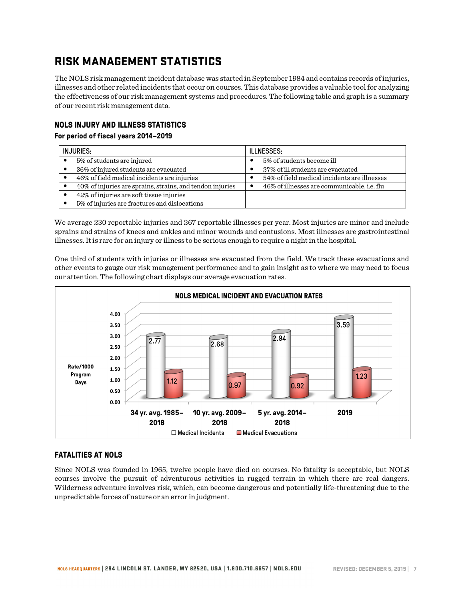# RISK MANAGEMENT STATISTICS

The NOLS risk management incident database was started in September 1984 and contains records of injuries, illnesses and other related incidents that occur on courses. This database provides a valuable tool for analyzing the effectiveness of our risk management systems and procedures. The following table and graph is a summary of our recent risk management data.

# **NOLS INJURY AND ILLNESS STATISTICS**

### **For period of fiscal years 2014–2019**

| <b>INJURIES:</b>                                          | <b>ILLNESSES:</b>                            |  |
|-----------------------------------------------------------|----------------------------------------------|--|
| 5% of students are injured                                | 5% of students become ill                    |  |
| 36% of injured students are evacuated                     | 27% of ill students are evacuated            |  |
| 46% of field medical incidents are injuries               | 54% of field medical incidents are illnesses |  |
| 40% of injuries are sprains, strains, and tendon injuries | 46% of illnesses are communicable, i.e. flu  |  |
| 42% of injuries are soft tissue injuries                  |                                              |  |
| 5% of injuries are fractures and dislocations             |                                              |  |

We average 230 reportable injuries and 267 reportable illnesses per year. Most injuries are minor and include sprains and strains of knees and ankles and minor wounds and contusions. Most illnesses are gastrointestinal illnesses. It is rare for an injury or illness to be serious enough to require a night in the hospital.

One third of students with injuries or illnesses are evacuated from the field. We track these evacuations and other events to gauge our risk management performance and to gain insight as to where we may need to focus our attention. The following chart displays our average evacuation rates.



# **FATALITIES AT NOLS**

Since NOLS was founded in 1965, twelve people have died on courses. No fatality is acceptable, but NOLS courses involve the pursuit of adventurous activities in rugged terrain in which there are real dangers. Wilderness adventure involves risk, which, can become dangerous and potentially life-threatening due to the unpredictable forces of nature or an error in judgment.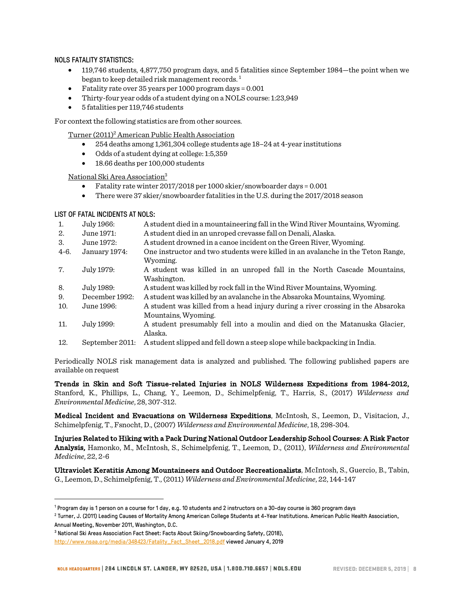### NOLS FATALITY STATISTICS:

- 119,746 students, 4,877,750 program days, and 5 fatalities since September 1984—the point when we began to keep detailed risk management records.<sup>1</sup>
- Fatality rate over  $35$  years per 1000 program days =  $0.001$
- Thirty-four year odds of a student dying on a NOLS course: 1:23,949
- 5 fatalities per 119,746 students

For context the following statistics are from other sources.

Turner (2011)2 American Public Health Association

- 254 deaths among 1,361,304 college students age 18–24 at 4-year institutions
- Odds of a student dying at college: 1:5,359
- 18.66 deaths per 100,000 students

National Ski Area Association3

- Fatality rate winter 2017/2018 per 1000 skier/snowboarder days = 0.001
- There were 37 skier/snowboarder fatalities in the U.S. during the 2017/2018 season

### LIST OF FATAL INCIDENTS AT NOLS:

֬֘֒

| 1.     | July 1966:      | A student died in a mountaineering fall in the Wind River Mountains, Wyoming.               |
|--------|-----------------|---------------------------------------------------------------------------------------------|
| 2.     | June 1971:      | A student died in an unroped crevasse fall on Denali, Alaska.                               |
| 3.     | June 1972:      | A student drowned in a canoe incident on the Green River, Wyoming.                          |
| $4-6.$ | January 1974:   | One instructor and two students were killed in an avalanche in the Teton Range,<br>Wyoming. |
| 7.     | July 1979:      | A student was killed in an unroped fall in the North Cascade Mountains,<br>Washington.      |
| 8.     | July 1989:      | A student was killed by rock fall in the Wind River Mountains, Wyoming.                     |
| 9.     | December 1992:  | A student was killed by an avalanche in the Absaroka Mountains, Wyoming.                    |
| 10.    | June 1996:      | A student was killed from a head injury during a river crossing in the Absaroka             |
|        |                 | Mountains, Wyoming.                                                                         |
| 11.    | July 1999:      | A student presumably fell into a moulin and died on the Matanuska Glacier,<br>Alaska.       |
| 12.    | September 2011: | A student slipped and fell down a steep slope while backpacking in India.                   |

Periodically NOLS risk management data is analyzed and published. The following published papers are available on request

Trends in Skin and Soft Tissue-related Injuries in NOLS Wilderness Expeditions from 1984-2012, Stanford, K., Phillips, L., Chang, Y., Leemon, D., Schimelpfenig, T., Harris, S., (2017) *Wilderness and Environmental Medicine*, 28, 307-312.

Medical Incident and Evacuations on Wilderness Expeditions, McIntosh, S., Leemon, D., Visitacion, J., Schimelpfenig, T., Fsnocht, D., (2007) *Wilderness and Environmental Medicine*, 18, 298-304.

Injuries Related to Hiking with a Pack During National Outdoor Leadership School Courses: A Risk Factor Analysis, Hamonko, M., McIntosh, S., Schimelpfenig, T., Leemon, D., (2011), *Wilderness and Environmental Medicine*, 22, 2-6

Ultraviolet Keratitis Among Mountaineers and Outdoor Recreationalists, McIntosh, S., Guercio, B., Tabin, G., Leemon, D., Schimelpfenig, T., (2011) *Wilderness and Environmental Medicine*, 22, 144-147

 $^2$  Turner, J. (2011) Leading Causes of Mortality Among American College Students at 4-Year Institutions. American Public Health Association, Annual Meeting, November 2011, Washington, D.C.

<sup>1</sup> Program day is 1 person on a course for 1 day, e.g. 10 students and 2 instructors on a 30-day course is 360 program days

<sup>3</sup> National Ski Areas Association Fact Sheet: Facts About Skiing/Snowboarding Safety, (2018), http://www.nsaa.org/media/348423/Fatality\_Fact\_Sheet\_2018.pdf viewed January 4, 2019